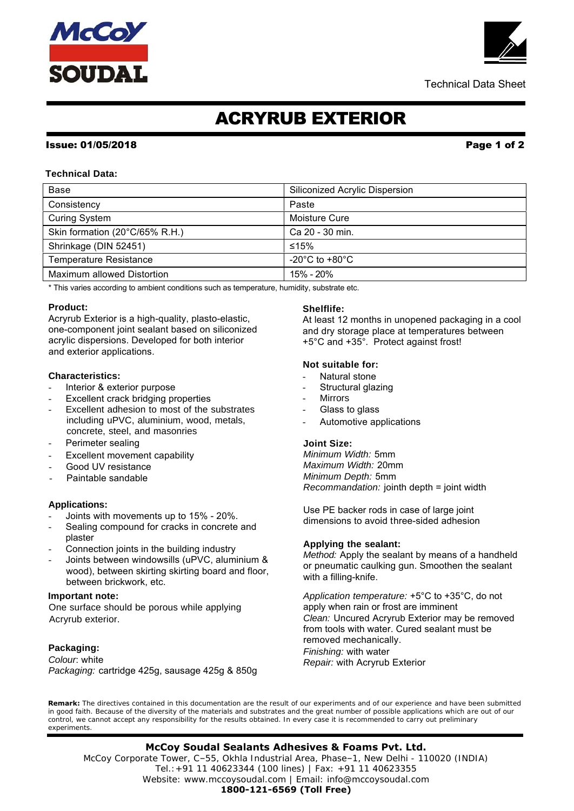# **McCoy<br>SOUDAL**



Technical Data Sheet

# ACRYRUB EXTERIOR

#### Issue: 01/05/2018 Page 1 of 2

#### **Technical Data:**

| Base                              | Siliconized Acrylic Dispersion       |
|-----------------------------------|--------------------------------------|
| Consistency                       | Paste                                |
| <b>Curing System</b>              | <b>Moisture Cure</b>                 |
| Skin formation (20°C/65% R.H.)    | Ca 20 - 30 min.                      |
| Shrinkage (DIN 52451)             | ≤15%                                 |
| <b>Temperature Resistance</b>     | -20 $^{\circ}$ C to +80 $^{\circ}$ C |
| <b>Maximum allowed Distortion</b> | 15% - 20%                            |

\* This varies according to ambient conditions such as temperature, humidity, substrate etc.

### **Product:**

Acryrub Exterior is a high-quality, plasto-elastic, one-component joint sealant based on siliconized acrylic dispersions. Developed for both interior and exterior applications.

#### **Characteristics:**

- Interior & exterior purpose
- Excellent crack bridging properties
- Excellent adhesion to most of the substrates including uPVC, aluminium, wood, metals, concrete, steel, and masonries
- Perimeter sealing
- Excellent movement capability
- Good UV resistance
- Paintable sandable

#### **Applications:**

- Joints with movements up to 15% 20%.
- Sealing compound for cracks in concrete and plaster
- Connection joints in the building industry
- Joints between windowsills (uPVC, aluminium & wood), between skirting skirting board and floor, between brickwork, etc.

#### **Important note:**

One surface should be porous while applying Acryrub exterior.

#### **Packaging:**

*Colour*: white *Packaging:* cartridge 425g, sausage 425g & 850g

### **Shelflife:**

At least 12 months in unopened packaging in a cool and dry storage place at temperatures between +5°C and +35°. Protect against frost!

#### **Not suitable for:**

- Natural stone
- Structural glazing
- Mirrors
- Glass to glass
- Automotive applications

#### **Joint Size:**

*Minimum Width:* 5mm *Maximum Width:* 20mm *Minimum Depth:* 5mm *Recommandation:* jointh depth = joint width

Use PE backer rods in case of large joint dimensions to avoid three-sided adhesion

#### **Applying the sealant:**

*Method:* Apply the sealant by means of a handheld or pneumatic caulking gun. Smoothen the sealant with a filling-knife.

*Application temperature:* +5°C to +35°C, do not apply when rain or frost are imminent *Clean:* Uncured Acryrub Exterior may be removed from tools with water. Cured sealant must be removed mechanically. *Finishing:* with water *Repair:* with Acryrub Exterior

**Remark:** The directives contained in this documentation are the result of our experiments and of our experience and have been submitted in good faith. Because of the diversity of the materials and substrates and the great number of possible applications which are out of our control, we cannot accept any responsibility for the results obtained. In every case it is recommended to carry out preliminary experiments.

 Tel.:+91 11 40623344 (100 lines) | Fax: +91 11 40623355 **McCoy Soudal Sealants Adhesives & Foams Pvt. Ltd.** McCoy Corporate Tower, C–55, Okhla Industrial Area, Phase–1, New Delhi - 110020 (INDIA) Website: www.mccoysoudal.com | Email: info@mccoysoudal.com **1800-121-6569 (Toll Free)**